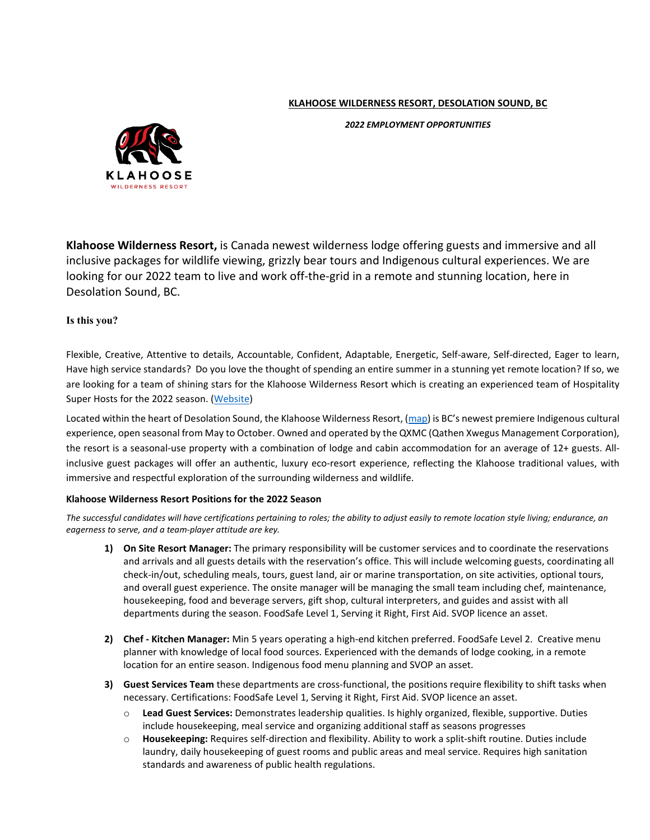## **KLAHOOSE WILDERNESS RESORT, DESOLATION SOUND, BC**

**AHOOSE WILDERNESS RESORT** 

*2022 EMPLOYMENT OPPORTUNITIES*

**Klahoose Wilderness Resort,** is Canada newest wilderness lodge offering guests and immersive and all inclusive packages for wildlife viewing, grizzly bear tours and Indigenous cultural experiences. We are looking for our 2022 team to live and work off-the-grid in a remote and stunning location, here in Desolation Sound, BC.

# **Is this you?**

Flexible, Creative, Attentive to details, Accountable, Confident, Adaptable, Energetic, Self-aware, Self-directed, Eager to learn, Have high service standards? Do you love the thought of spending an entire summer in a stunning yet remote location? If so, we are looking for a team of shining stars for the Klahoose Wilderness Resort which is creating an experienced team of Hospitality Super Hosts for the 2022 season. [\(Website\)](https://www.klahooseresort.com/)

Located within the heart of Desolation Sound, the Klahoose Wilderness Resort, [\(map\)](https://www.google.com/maps/place/Klahoose+Wilderness+Resort/@50.2873637,-124.6560139,12.32z/data=!4m8!3m7!1s0x547d678503bf91a5:0x26d4d5316cd1253!5m2!4m1!1i2!8m2!3d50.2727435!4d-124.6216648) is BC's newest premiere Indigenous cultural experience, open seasonal from May to October. Owned and operated by the QXMC (Qathen Xwegus Management Corporation), the resort is a seasonal-use property with a combination of lodge and cabin accommodation for an average of 12+ guests. Allinclusive guest packages will offer an authentic, luxury eco-resort experience, reflecting the Klahoose traditional values, with immersive and respectful exploration of the surrounding wilderness and wildlife.

## **Klahoose Wilderness Resort Positions for the 2022 Season**

*The successful candidates will have certifications pertaining to roles; the ability to adjust easily to remote location style living; endurance, an eagerness to serve, and a team-player attitude are key.*

- **1) On Site Resort Manager:** The primary responsibility will be customer services and to coordinate the reservations and arrivals and all guests details with the reservation's office. This will include welcoming guests, coordinating all check-in/out, scheduling meals, tours, guest land, air or marine transportation, on site activities, optional tours, and overall guest experience. The onsite manager will be managing the small team including chef, maintenance, housekeeping, food and beverage servers, gift shop, cultural interpreters, and guides and assist with all departments during the season. FoodSafe Level 1, Serving it Right, First Aid. SVOP licence an asset.
- **2) Chef - Kitchen Manager:** Min 5 years operating a high-end kitchen preferred. FoodSafe Level 2. Creative menu planner with knowledge of local food sources. Experienced with the demands of lodge cooking, in a remote location for an entire season. Indigenous food menu planning and SVOP an asset.
- **3) Guest Services Team** these departments are cross-functional, the positions require flexibility to shift tasks when necessary. Certifications: FoodSafe Level 1, Serving it Right, First Aid. SVOP licence an asset.
	- o **Lead Guest Services:** Demonstrates leadership qualities. Is highly organized, flexible, supportive. Duties include housekeeping, meal service and organizing additional staff as seasons progresses
	- o **Housekeeping:** Requires self-direction and flexibility. Ability to work a split-shift routine. Duties include laundry, daily housekeeping of guest rooms and public areas and meal service. Requires high sanitation standards and awareness of public health regulations.